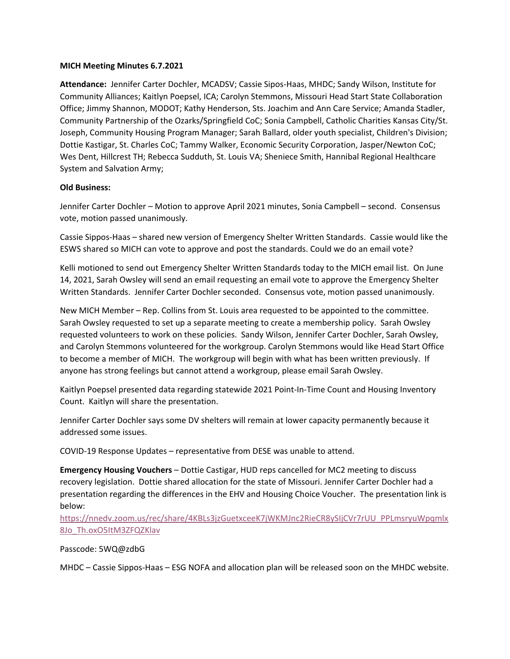## **MICH Meeting Minutes 6.7.2021**

**Attendance:** Jennifer Carter Dochler, MCADSV; Cassie Sipos-Haas, MHDC; Sandy Wilson, Institute for Community Alliances; Kaitlyn Poepsel, ICA; Carolyn Stemmons, Missouri Head Start State Collaboration Office; Jimmy Shannon, MODOT; Kathy Henderson, Sts. Joachim and Ann Care Service; Amanda Stadler, Community Partnership of the Ozarks/Springfield CoC; Sonia Campbell, Catholic Charities Kansas City/St. Joseph, Community Housing Program Manager; Sarah Ballard, older youth specialist, Children's Division; Dottie Kastigar, St. Charles CoC; Tammy Walker, Economic Security Corporation, Jasper/Newton CoC; Wes Dent, Hillcrest TH; Rebecca Sudduth, St. Louis VA; Sheniece Smith, Hannibal Regional Healthcare System and Salvation Army;

## **Old Business:**

Jennifer Carter Dochler – Motion to approve April 2021 minutes, Sonia Campbell – second. Consensus vote, motion passed unanimously.

Cassie Sippos-Haas – shared new version of Emergency Shelter Written Standards. Cassie would like the ESWS shared so MICH can vote to approve and post the standards. Could we do an email vote?

Kelli motioned to send out Emergency Shelter Written Standards today to the MICH email list. On June 14, 2021, Sarah Owsley will send an email requesting an email vote to approve the Emergency Shelter Written Standards. Jennifer Carter Dochler seconded. Consensus vote, motion passed unanimously.

New MICH Member – Rep. Collins from St. Louis area requested to be appointed to the committee. Sarah Owsley requested to set up a separate meeting to create a membership policy. Sarah Owsley requested volunteers to work on these policies. Sandy Wilson, Jennifer Carter Dochler, Sarah Owsley, and Carolyn Stemmons volunteered for the workgroup. Carolyn Stemmons would like Head Start Office to become a member of MICH. The workgroup will begin with what has been written previously. If anyone has strong feelings but cannot attend a workgroup, please email Sarah Owsley.

Kaitlyn Poepsel presented data regarding statewide 2021 Point-In-Time Count and Housing Inventory Count. Kaitlyn will share the presentation.

Jennifer Carter Dochler says some DV shelters will remain at lower capacity permanently because it addressed some issues.

COVID-19 Response Updates – representative from DESE was unable to attend.

**Emergency Housing Vouchers** – Dottie Castigar, HUD reps cancelled for MC2 meeting to discuss recovery legislation. Dottie shared allocation for the state of Missouri. Jennifer Carter Dochler had a presentation regarding the differences in the EHV and Housing Choice Voucher. The presentation link is below:

[https://nnedv.zoom.us/rec/share/4KBLs3jzGuetxceeK7jWKMJnc2RieCR8ySIjCVr7rUU\\_PPLmsryuWpqmlx](https://nnedv.zoom.us/rec/share/4KBLs3jzGuetxceeK7jWKMJnc2RieCR8ySIjCVr7rUU_PPLmsryuWpqmlx8Jo_Th.oxO5ItM3ZFQZKlav) [8Jo\\_Th.oxO5ItM3ZFQZKlav](https://nnedv.zoom.us/rec/share/4KBLs3jzGuetxceeK7jWKMJnc2RieCR8ySIjCVr7rUU_PPLmsryuWpqmlx8Jo_Th.oxO5ItM3ZFQZKlav)

## Passcode: 5WQ@zdbG

MHDC – Cassie Sippos-Haas – ESG NOFA and allocation plan will be released soon on the MHDC website.